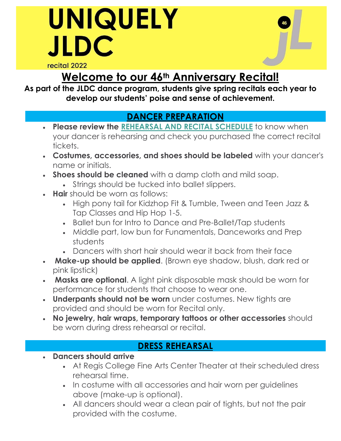### UNIQUELY **JLDC** recital 2022



### **Welcome to our 46th Anniversary Recital!**

**As part of the JLDC dance program, students give spring recitals each year to develop our students' poise and sense of achievement.**

#### **DANCER PREPARATION**

- **Please review the [REHEARSAL AND RECITAL SCHEDULE](https://jldancecenter.com/performances/spring-recital/)** to know when your dancer is rehearsing and check you purchased the correct recital tickets.
- **Costumes, accessories, and shoes should be labeled** with your dancer's name or initials.
- **Shoes should be cleaned** with a damp cloth and mild soap.
	- Strings should be tucked into ballet slippers.
- **Hair** should be worn as follows:
	- High pony tail for Kidzhop Fit & Tumble, Tween and Teen Jazz & Tap Classes and Hip Hop 1-5.
	- Ballet bun for Intro to Dance and Pre-Ballet/Tap students
	- Middle part, low bun for Funamentals, Danceworks and Prep students
	- Dancers with short hair should wear it back from their face
- **Make-up should be applied**. (Brown eye shadow, blush, dark red or pink lipstick)
- **Masks are optional**. A light pink disposable mask should be worn for performance for students that choose to wear one.
- **Underpants should not be worn** under costumes. New tights are provided and should be worn for Recital only.
- **No jewelry, hair wraps, temporary tattoos or other accessories** should be worn during dress rehearsal or recital.

#### **DRESS REHEARSAL**

- **Dancers should arrive**
	- At Regis College Fine Arts Center Theater at their scheduled dress rehearsal time.
	- In costume with all accessories and hair worn per guidelines above (make-up is optional).
	- All dancers should wear a clean pair of tights, but not the pair provided with the costume.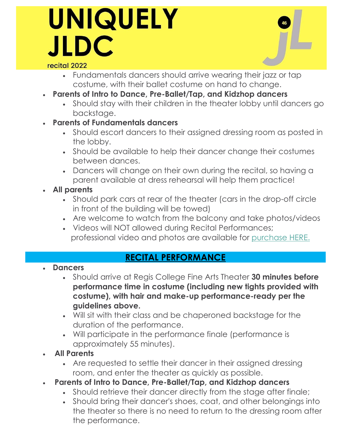# UNIQUELY **JLDC**



#### recital 2022

- Fundamentals dancers should arrive wearing their jazz or tap costume, with their ballet costume on hand to change.
- **Parents of Intro to Dance, Pre-Ballet/Tap, and Kidzhop dancers**
	- Should stay with their children in the theater lobby until dancers go backstage.
- **Parents of Fundamentals dancers**
	- Should escort dancers to their assigned dressing room as posted in the lobby.
	- Should be available to help their dancer change their costumes between dances.
	- Dancers will change on their own during the recital, so having a parent available at dress rehearsal will help them practice!
- **All parents**
	- Should park cars at rear of the theater (cars in the drop-off circle in front of the building will be towed)
	- Are welcome to watch from the balcony and take photos/videos
	- Videos will NOT allowed during Recital Performances; professional video and photos are available for [purchase HERE.](https://www.daedalusmediagroup.com/jldc-recital-booking-page)

#### **RECITAL PERFORMANCE**

#### • **Dancers**

- Should arrive at Regis College Fine Arts Theater **30 minutes before performance time in costume (including new tights provided with costume), with hair and make-up performance-ready per the guidelines above.**
- Will sit with their class and be chaperoned backstage for the duration of the performance.
- Will participate in the performance finale (performance is approximately 55 minutes).
- **All Parents**
	- Are requested to settle their dancer in their assigned dressing room, and enter the theater as quickly as possible.
- **Parents of Intro to Dance, Pre-Ballet/Tap, and Kidzhop dancers**
	- Should retrieve their dancer directly from the stage after finale;
	- Should bring their dancer's shoes, coat, and other belongings into the theater so there is no need to return to the dressing room after the performance.